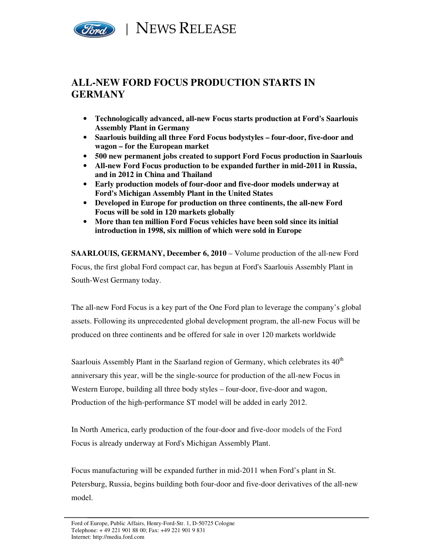

## **ALL-NEW FORD FOCUS PRODUCTION STARTS IN GERMANY**

- **Technologically advanced, all-new Focus starts production at Ford's Saarlouis Assembly Plant in Germany**
- **Saarlouis building all three Ford Focus bodystyles four-door, five-door and wagon – for the European market**
- **500 new permanent jobs created to support Ford Focus production in Saarlouis**
- **All-new Ford Focus production to be expanded further in mid-2011 in Russia, and in 2012 in China and Thailand**
- **Early production models of four-door and five-door models underway at Ford's Michigan Assembly Plant in the United States**
- **Developed in Europe for production on three continents, the all-new Ford Focus will be sold in 120 markets globally**
- **More than ten million Ford Focus vehicles have been sold since its initial introduction in 1998, six million of which were sold in Europe**

**SAARLOUIS, GERMANY, December 6, 2010** – Volume production of the all-new Ford Focus, the first global Ford compact car, has begun at Ford's Saarlouis Assembly Plant in South-West Germany today.

The all-new Ford Focus is a key part of the One Ford plan to leverage the company's global assets. Following its unprecedented global development program, the all-new Focus will be produced on three continents and be offered for sale in over 120 markets worldwide

Saarlouis Assembly Plant in the Saarland region of Germany, which celebrates its  $40<sup>th</sup>$ anniversary this year, will be the single-source for production of the all-new Focus in Western Europe, building all three body styles – four-door, five-door and wagon, Production of the high-performance ST model will be added in early 2012.

In North America, early production of the four-door and five-door models of the Ford Focus is already underway at Ford's Michigan Assembly Plant.

Focus manufacturing will be expanded further in mid-2011 when Ford's plant in St. Petersburg, Russia, begins building both four-door and five-door derivatives of the all-new model.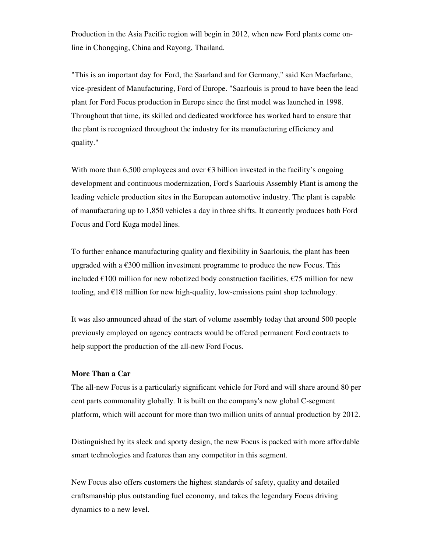Production in the Asia Pacific region will begin in 2012, when new Ford plants come online in Chongqing, China and Rayong, Thailand.

"This is an important day for Ford, the Saarland and for Germany," said Ken Macfarlane, vice-president of Manufacturing, Ford of Europe. "Saarlouis is proud to have been the lead plant for Ford Focus production in Europe since the first model was launched in 1998. Throughout that time, its skilled and dedicated workforce has worked hard to ensure that the plant is recognized throughout the industry for its manufacturing efficiency and quality."

With more than 6,500 employees and over  $\epsilon$ 3 billion invested in the facility's ongoing development and continuous modernization, Ford's Saarlouis Assembly Plant is among the leading vehicle production sites in the European automotive industry. The plant is capable of manufacturing up to 1,850 vehicles a day in three shifts. It currently produces both Ford Focus and Ford Kuga model lines.

To further enhance manufacturing quality and flexibility in Saarlouis, the plant has been upgraded with a  $\epsilon$ 300 million investment programme to produce the new Focus. This included  $\epsilon$ 100 million for new robotized body construction facilities,  $\epsilon$ 75 million for new tooling, and  $\epsilon$ 18 million for new high-quality, low-emissions paint shop technology.

It was also announced ahead of the start of volume assembly today that around 500 people previously employed on agency contracts would be offered permanent Ford contracts to help support the production of the all-new Ford Focus.

## **More Than a Car**

The all-new Focus is a particularly significant vehicle for Ford and will share around 80 per cent parts commonality globally. It is built on the company's new global C-segment platform, which will account for more than two million units of annual production by 2012.

Distinguished by its sleek and sporty design, the new Focus is packed with more affordable smart technologies and features than any competitor in this segment.

New Focus also offers customers the highest standards of safety, quality and detailed craftsmanship plus outstanding fuel economy, and takes the legendary Focus driving dynamics to a new level.